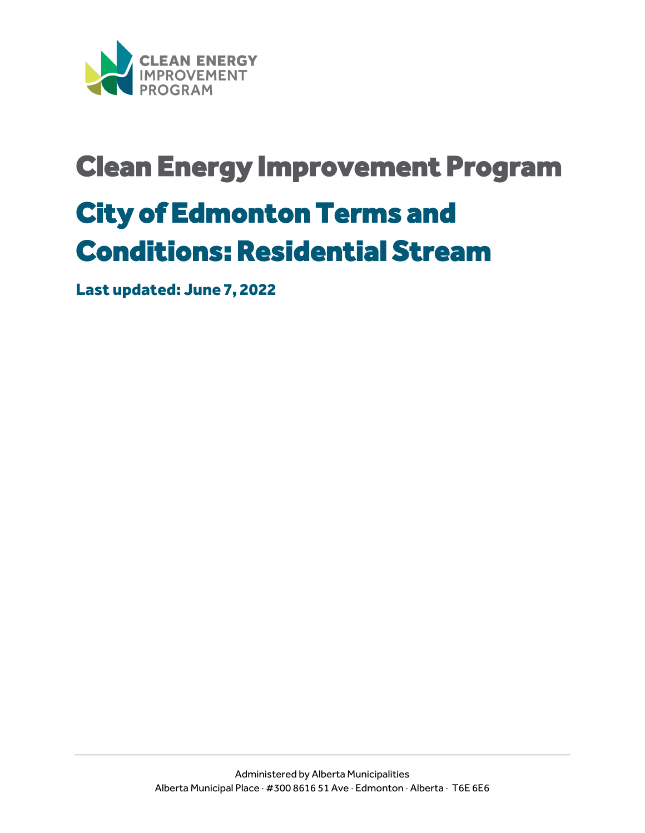

# Clean Energy Improvement Program City of Edmonton Terms and

# Conditions: Residential Stream

Last updated: June 7, 2022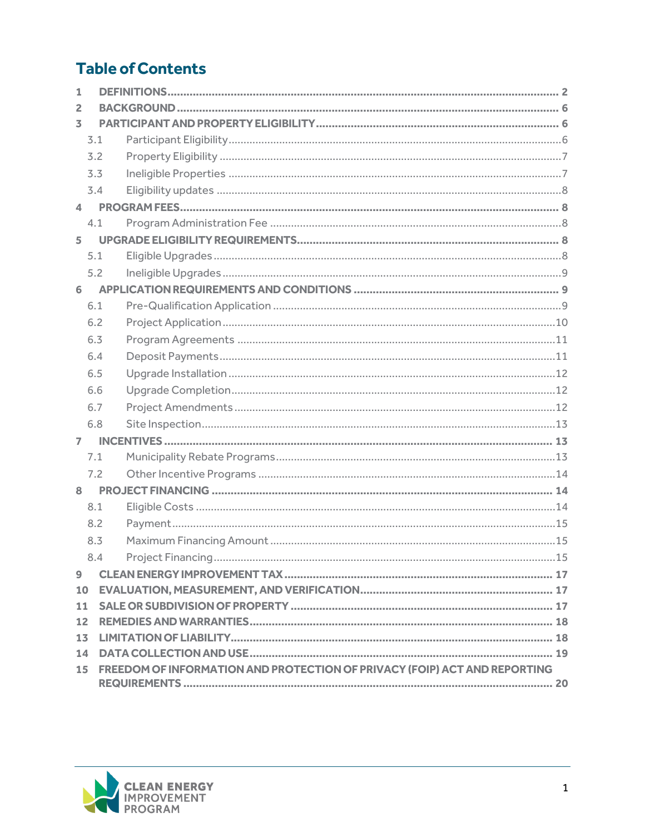## **Table of Contents**

| 1              |     |                                                                           |  |
|----------------|-----|---------------------------------------------------------------------------|--|
| 2              |     |                                                                           |  |
| 3              |     |                                                                           |  |
|                | 3.1 |                                                                           |  |
|                | 3.2 |                                                                           |  |
|                | 3.3 |                                                                           |  |
|                | 3.4 |                                                                           |  |
| 4              |     |                                                                           |  |
|                | 4.1 |                                                                           |  |
| 5              |     |                                                                           |  |
|                | 5.1 |                                                                           |  |
|                | 5.2 |                                                                           |  |
| 6              |     |                                                                           |  |
|                | 6.1 |                                                                           |  |
|                | 6.2 |                                                                           |  |
|                | 6.3 |                                                                           |  |
|                | 6.4 |                                                                           |  |
|                | 6.5 |                                                                           |  |
|                | 6.6 |                                                                           |  |
|                | 6.7 |                                                                           |  |
|                | 6.8 |                                                                           |  |
| $\overline{7}$ |     |                                                                           |  |
|                | 7.1 |                                                                           |  |
|                | 7.2 |                                                                           |  |
| 8              |     |                                                                           |  |
|                | 8.1 |                                                                           |  |
|                | 8.2 |                                                                           |  |
|                | 8.3 |                                                                           |  |
|                | 8.4 |                                                                           |  |
| $\overline{9}$ |     |                                                                           |  |
| 10             |     |                                                                           |  |
| 11             |     |                                                                           |  |
| 12             |     |                                                                           |  |
| 13             |     |                                                                           |  |
| 14             |     |                                                                           |  |
| 15             |     | FREEDOM OF INFORMATION AND PROTECTION OF PRIVACY (FOIP) ACT AND REPORTING |  |
|                |     |                                                                           |  |

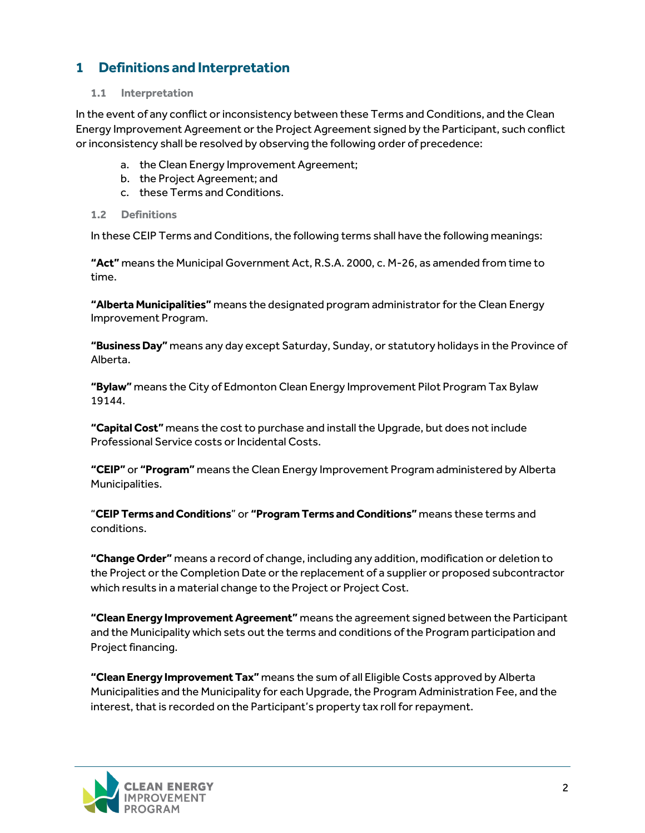## <span id="page-2-0"></span>**1 Definitions and Interpretation**

#### **1.1 Interpretation**

In the event of any conflict or inconsistency between these Terms and Conditions, and the Clean Energy Improvement Agreement or the Project Agreement signed by the Participant, such conflict or inconsistency shall be resolved by observing the following order of precedence:

- a. the Clean Energy Improvement Agreement;
- b. the Project Agreement; and
- c. these Terms and Conditions.
- **1.2 Definitions**

In these CEIP Terms and Conditions, the following terms shall have the following meanings:

**"Act"** means the Municipal Government Act, R.S.A. 2000, c. M-26, as amended from time to time.

**"Alberta Municipalities"** means the designated program administrator for the Clean Energy Improvement Program.

**"Business Day"** means any day except Saturday, Sunday, or statutory holidays in the Province of Alberta.

**"Bylaw"** means the City of Edmonton Clean Energy Improvement Pilot Program Tax Bylaw 19144.

**"Capital Cost"** means the cost to purchase and install the Upgrade, but does not include Professional Service costs or Incidental Costs.

**"CEIP"** or **"Program"** means the Clean Energy Improvement Program administered by Alberta Municipalities.

"**CEIP Terms and Conditions**" or **"Program Terms and Conditions"** means these terms and conditions.

**"Change Order"** means a record of change, including any addition, modification or deletion to the Project or the Completion Date or the replacement of a supplier or proposed subcontractor which results in a material change to the Project or Project Cost.

**"Clean Energy Improvement Agreement"** means the agreement signed between the Participant and the Municipality which sets out the terms and conditions of the Program participation and Project financing.

**"Clean Energy Improvement Tax"** means the sum of all Eligible Costs approved by Alberta Municipalities and the Municipality for each Upgrade, the Program Administration Fee, and the interest, that is recorded on the Participant's property tax roll for repayment.

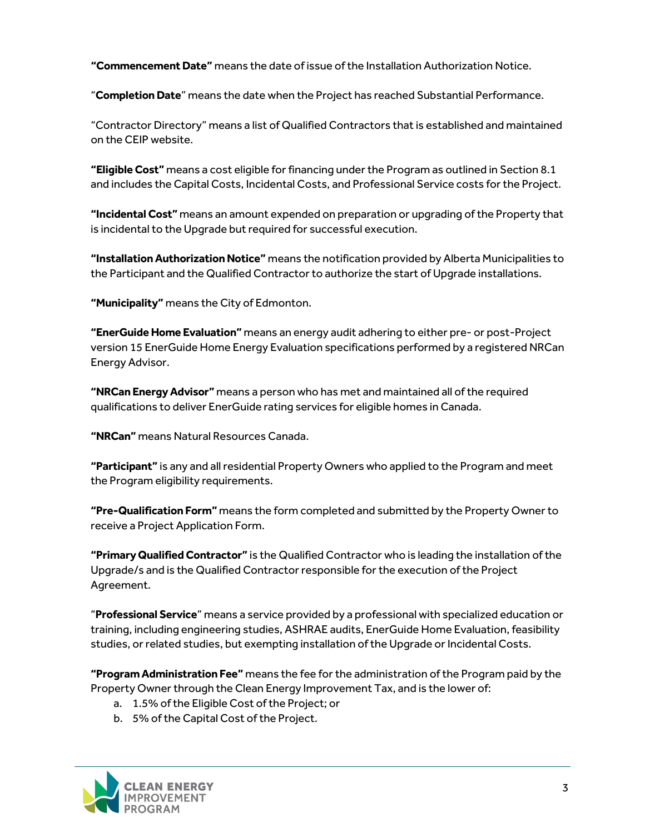**"Commencement Date"** means the date of issue ofthe Installation Authorization Notice.

"**Completion Date**" means the date when the Project has reached Substantial Performance.

"Contractor Directory" means a list of Qualified Contractors that is established and maintained on the CEIP website.

**"Eligible Cost"** means a cost eligible for financing under the Program as outlined in Section 8.1 and includes the Capital Costs, Incidental Costs, and Professional Service costs for the Project.

**"Incidental Cost"** means an amount expended on preparation or upgrading of the Property that is incidental to the Upgrade but required for successful execution.

**"Installation Authorization Notice"** means the notification provided by Alberta Municipalities to the Participant and the Qualified Contractor to authorize the start of Upgrade installations.

**"Municipality"** means the City of Edmonton.

**"EnerGuide Home Evaluation"** means an energy audit adhering to either pre- or post-Project version 15 EnerGuide Home Energy Evaluation specifications performed by a registered NRCan Energy Advisor.

**"NRCan Energy Advisor"** means a person who has met and maintained all of the required qualifications to deliver EnerGuide rating services for eligible homes in Canada.

**"NRCan"** means Natural Resources Canada.

**"Participant"** is any and all residential Property Owners who applied to the Program and meet the Program eligibility requirements.

**"Pre-Qualification Form"** means the form completed and submitted by the Property Owner to receive a Project Application Form.

**"Primary Qualified Contractor"** is the Qualified Contractor who is leading the installation of the Upgrade/s and is the Qualified Contractor responsible for the execution of the Project Agreement.

"**Professional Service**" means a service provided by a professional with specialized education or training, including engineering studies, ASHRAE audits, EnerGuide Home Evaluation, feasibility studies, or related studies, but exempting installation of the Upgrade or Incidental Costs.

**"Program Administration Fee"** means the fee for the administration of the Program paid by the Property Owner through the Clean Energy Improvement Tax, and is the lower of:

- a. 1.5% of the Eligible Cost of the Project; or
- b. 5% of the Capital Cost of the Project.

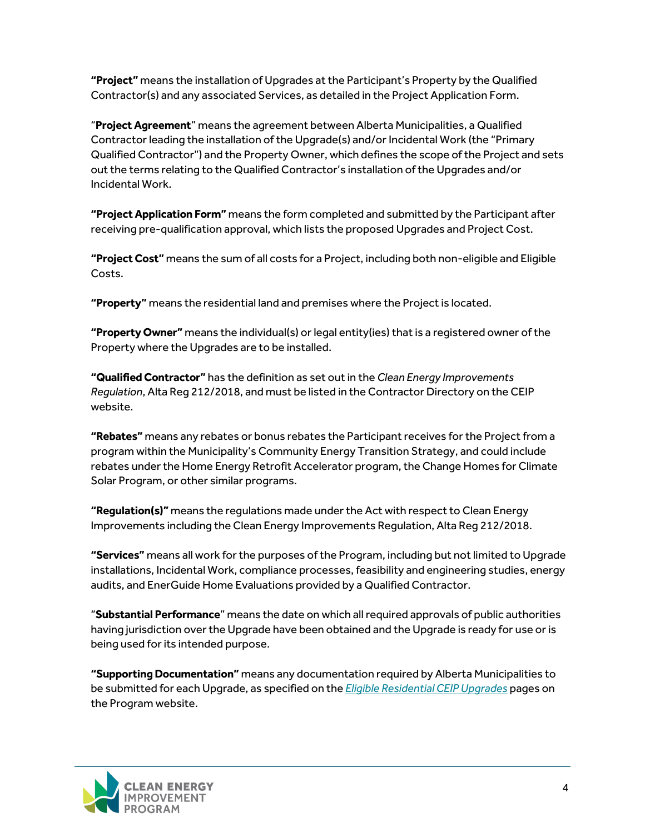**"Project"** means the installation of Upgrades at the Participant's Property by the Qualified Contractor(s) and any associated Services, as detailed in the Project Application Form.

"**Project Agreement**" means the agreement between Alberta Municipalities, a Qualified Contractor leading the installation of the Upgrade(s) and/or Incidental Work (the "Primary Qualified Contractor") and the Property Owner, which defines the scope of the Project and sets out the terms relating to the Qualified Contractor's installation of the Upgrades and/or Incidental Work.

**"Project Application Form"** means the form completed and submitted by the Participant after receiving pre-qualification approval, which lists the proposed Upgrades and Project Cost.

**"Project Cost"** means the sum of all costs for a Project, including both non-eligible and Eligible Costs.

**"Property"** means the residential land and premises where the Project is located.

**"Property Owner"** means the individual(s) or legal entity(ies)that is a registered owner of the Property where the Upgrades are to be installed.

**"Qualified Contractor"** has the definition as set out in the *Clean Energy Improvements Regulation*, Alta Reg 212/2018, and must be listed in the Contractor Directory on the CEIP website.

**"Rebates"** means any rebates or bonus rebates the Participant receives for the Project from a program within the Municipality's Community Energy Transition Strategy, and could include rebates under the Home Energy Retrofit Accelerator program, the Change Homes for Climate Solar Program, or other similar programs.

**"Regulation(s)"** means the regulations made under the Act with respect to Clean Energy Improvements including the Clean Energy Improvements Regulation, Alta Reg 212/2018.

**"Services"** means all work for the purposes of the Program, including but not limited to Upgrade installations, Incidental Work, compliance processes, feasibility and engineering studies, energy audits, and EnerGuide Home Evaluations provided by a Qualified Contractor.

"**Substantial Performance**" means the date on which all required approvals of public authorities having jurisdiction over the Upgrade have been obtained and the Upgrade is ready for use or is being used for its intended purpose.

**"Supporting Documentation"** means any documentation required by Alberta Municipalities to be submitted for each Upgrade, as specified on the *Eligible Residential [CEIP Upgrades](https://www.myceip.ca/residential/)* pages on the Program website.

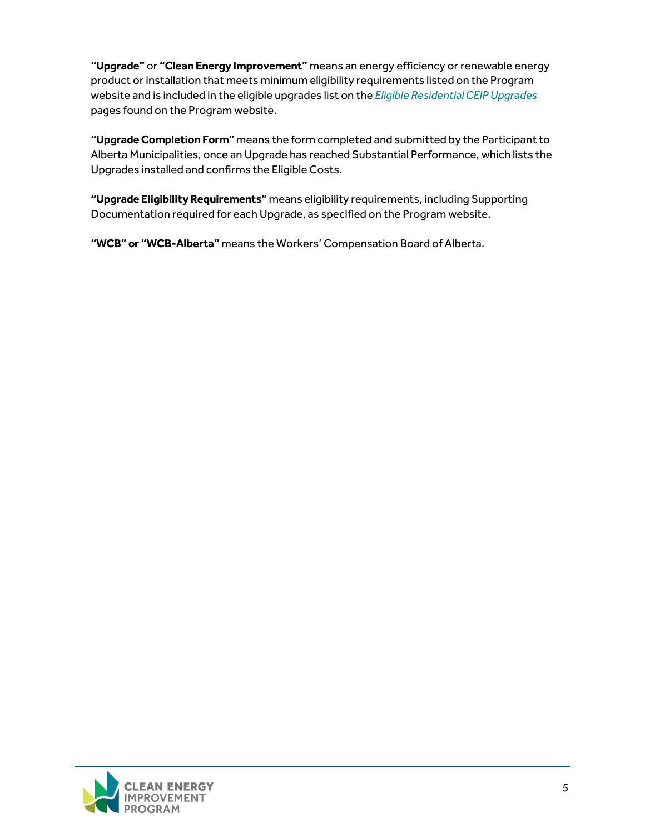**"Upgrade"** or **"Clean Energy Improvement"** means an energy efficiency or renewable energy product or installation that meets minimum eligibility requirements listed on the Program website and is included in the eligible upgrades list on the *[Eligible Residential CEIP Upgrades](https://www.myceip.ca/residential/)* pages found on the Program website.

**"Upgrade Completion Form"** means the form completed and submitted by the Participant to Alberta Municipalities, once an Upgrade has reached Substantial Performance, which lists the Upgrades installed and confirms the Eligible Costs.

**"Upgrade Eligibility Requirements"** means eligibility requirements, including Supporting Documentation required for each Upgrade, as specified on the Program website.

**"WCB" or "WCB-Alberta"** means the Workers' Compensation Board of Alberta.

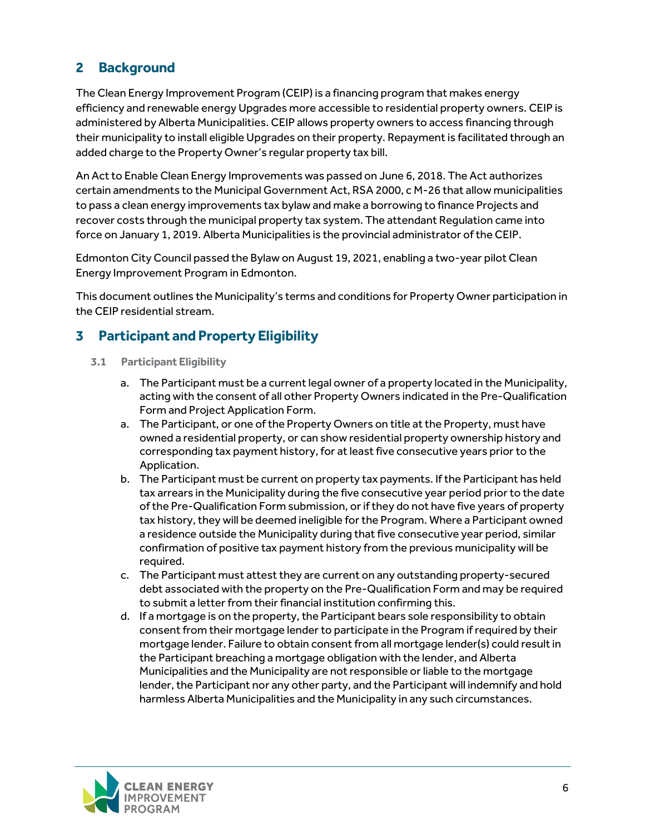## <span id="page-6-0"></span>**2 Background**

The Clean Energy Improvement Program (CEIP) is a financing program that makes energy efficiency and renewable energy Upgrades more accessible to residential property owners. CEIP is administered by Alberta Municipalities. CEIP allows property owners to access financing through their municipality to install eligible Upgrades on their property. Repayment is facilitated through an added charge to the Property Owner's regular property tax bill.

An Act to Enable Clean Energy Improvements was passed on June 6, 2018. The Act authorizes certain amendments to the Municipal Government Act, RSA 2000, c M-26 that allow municipalities to pass a clean energy improvements tax bylaw and make a borrowing to finance Projects and recover costs through the municipal property tax system. The attendant Regulation came into force on January 1, 2019. Alberta Municipalities is the provincial administrator of the CEIP.

Edmonton City Council passed the Bylaw on August 19, 2021, enabling a two-year pilot Clean Energy Improvement Program in Edmonton.

This document outlines the Municipality's terms and conditions for Property Owner participation in the CEIP residential stream.

## <span id="page-6-1"></span>**3 Participant and Property Eligibility**

- <span id="page-6-2"></span>**3.1 Participant Eligibility** 
	- a. The Participant must be a current legal owner of a property located in the Municipality, acting with the consent of all other Property Owners indicated in the Pre-Qualification Form and Project Application Form.
	- a. The Participant, or one of the Property Owners on title at the Property, must have owned a residential property, or can show residential property ownership history and corresponding tax payment history, for at least five consecutive years prior to the Application.
	- b. The Participant must be current on property tax payments. If the Participant has held tax arrears in the Municipality during the five consecutive year period prior to the date of the Pre-Qualification Form submission, or if they do not have five years of property tax history, they will be deemed ineligible for the Program. Where a Participant owned a residence outside the Municipality during that five consecutive year period, similar confirmation of positive tax payment history from the previous municipality will be required.
	- c. The Participant must attest they are current on any outstanding property-secured debt associated with the property on the Pre-Qualification Form and may be required to submit a letter from their financial institution confirming this.
	- d. If a mortgage is on the property, the Participant bears sole responsibility to obtain consent from their mortgage lender to participate in the Program if required by their mortgage lender. Failure to obtain consent from all mortgage lender(s) could result in the Participant breaching a mortgage obligation with the lender, and Alberta Municipalities and the Municipality are not responsible or liable to the mortgage lender, the Participant nor any other party, and the Participant will indemnify and hold harmless Alberta Municipalities and the Municipality in any such circumstances.

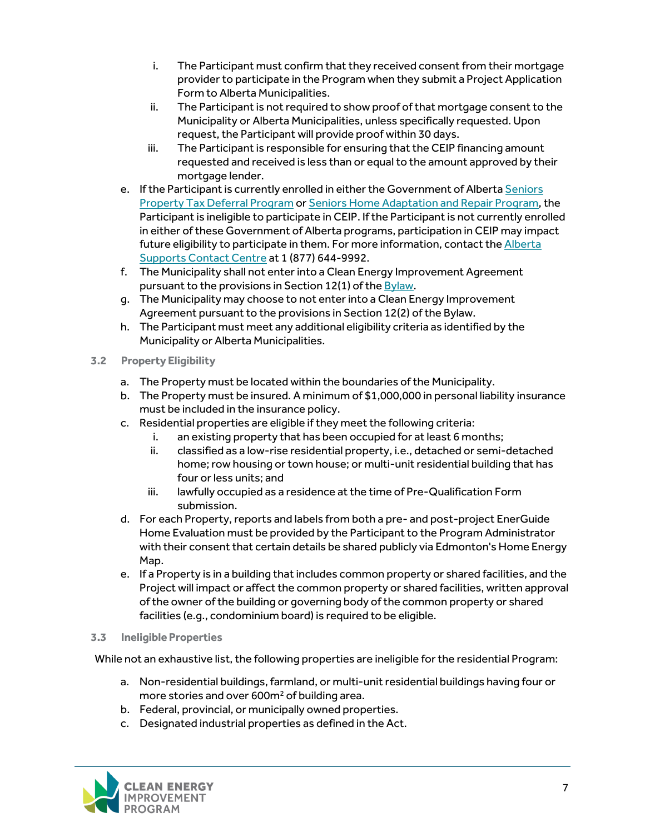- i. The Participant must confirm that they received consent from their mortgage provider to participate in the Program when they submit a Project Application Form to Alberta Municipalities.
- ii. The Participant is not required to show proof of that mortgage consent to the Municipality or Alberta Municipalities, unless specifically requested. Upon request, the Participant will provide proof within 30 days.
- iii. The Participant is responsible for ensuring that the CEIP financing amount requested and received is less than or equal to the amount approved by their mortgage lender.
- e. If the Participant is currently enrolled in either the Government of Alberta [Seniors](https://www.alberta.ca/seniors-property-tax-deferral-program.aspx)  [Property Tax Deferral Program](https://www.alberta.ca/seniors-property-tax-deferral-program.aspx) o[r Seniors Home Adaptation and Repair Program,](https://www.alberta.ca/seniors-home-adaptation-repair-program.aspx) the Participant is ineligible to participate in CEIP. If the Participant is not currently enrolled in either of these Government of Alberta programs, participation in CEIP may impact future eligibility to participate in them. For more information, contact the [Alberta](https://www.alberta.ca/alberta-supports.aspx)  [Supports Contact Centre](https://www.alberta.ca/alberta-supports.aspx) at 1 (877) 644-9992.
- f. The Municipality shall not enter into a Clean Energy Improvement Agreement pursuant to the provisions in Section 12(1) of the [Bylaw.](https://www.edmonton.ca/sites/default/files/public-files/assets/Bylaws/BL19144.pdf?cb=1634191420)
- g. The Municipality may choose to not enter into a Clean Energy Improvement Agreement pursuant to the provisions in Section 12(2) of the Bylaw.
- h. The Participant must meet any additional eligibility criteria as identified by the Municipality or Alberta Municipalities.
- <span id="page-7-0"></span>**3.2 Property Eligibility** 
	- a. The Property must be located within the boundaries of the Municipality.
	- b. The Property must be insured. A minimum of \$1,000,000 in personal liability insurance must be included in the insurance policy.
	- c. Residential properties are eligible if they meet the following criteria:
		- i. an existing property that has been occupied for at least 6 months;
		- ii. classified as a low-rise residential property, i.e., detached or semi-detached home; row housing or town house; or multi-unit residential building that has four or less units; and
		- iii. lawfully occupied as a residence at the time of Pre-Qualification Form submission.
	- d. For each Property, reports and labels from both a pre- and post-project EnerGuide Home Evaluation must be provided by the Participant to the Program Administrator with their consent that certain details be shared publicly via Edmonton's Home Energy Map.
	- e. If a Property is in a building that includes common property or shared facilities, and the Project will impact or affect the common property or shared facilities, written approval of the owner of the building or governing body of the common property or shared facilities (e.g., condominium board) is required to be eligible.
- <span id="page-7-1"></span>**3.3 Ineligible Properties**

While not an exhaustive list, the following properties are ineligible for the residential Program:

- a. Non-residential buildings, farmland, or multi-unit residential buildings having four or more stories and over 600m<sup>2</sup> of building area.
- b. Federal, provincial, or municipally owned properties.
- c. Designated industrial properties as defined in the Act.

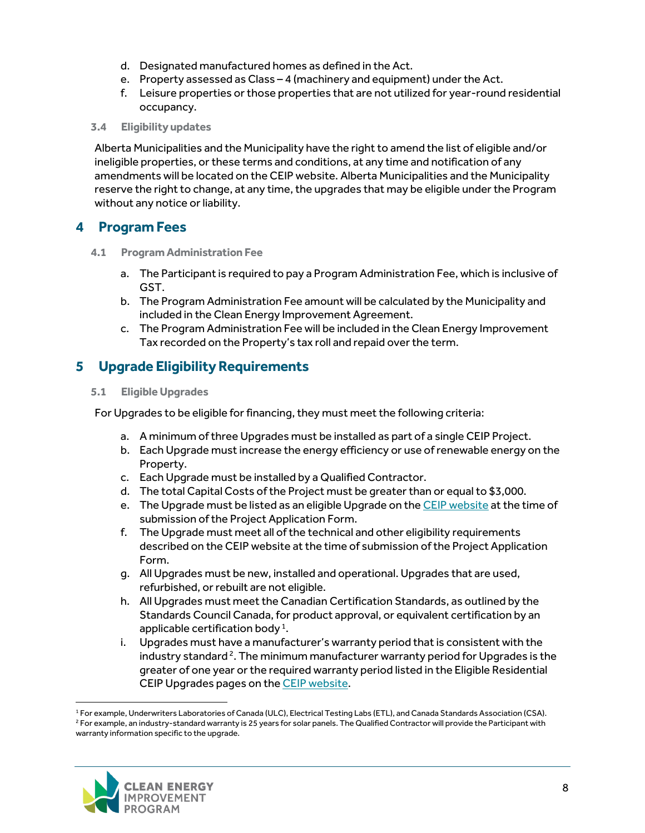- d. Designated manufactured homes as defined in the Act.
- e. Property assessed as Class 4 (machinery and equipment) under the Act.
- f. Leisure properties or those properties that are not utilized for year-round residential occupancy.

#### <span id="page-8-0"></span>**3.4 Eligibility updates**

Alberta Municipalities and the Municipality have the right to amend the list of eligible and/or ineligible properties, or these terms and conditions, at any time and notification of any amendments will be located on the CEIP website. Alberta Municipalities and the Municipality reserve the right to change, at any time, the upgrades that may be eligible under the Program without any notice or liability.

## <span id="page-8-1"></span>**4 Program Fees**

- <span id="page-8-2"></span>**4.1 Program Administration Fee**
	- a. The Participant is required to pay a Program Administration Fee, which is inclusive of GST.
	- b. The Program Administration Fee amount will be calculated by the Municipality and included in the Clean Energy Improvement Agreement.
	- c. The Program Administration Fee will be included in the Clean Energy Improvement Tax recorded on the Property's tax roll and repaid over the term.

## <span id="page-8-3"></span>**5 Upgrade Eligibility Requirements**

#### <span id="page-8-4"></span>**5.1 Eligible Upgrades**

For Upgrades to be eligible for financing, they must meet the following criteria:

- a. A minimum of three Upgrades must be installed as part of a single CEIP Project.
- b. Each Upgrade must increase the energy efficiency or use of renewable energy on the Property.
- c. Each Upgrade must be installed by a Qualified Contractor.
- d. The total Capital Costs of the Project must be greater than or equal to \$3,000.
- e. The Upgrade must be listed as an eligible Upgrade on the [CEIP website](https://www.myceip.ca/residential/) at the time of submission of the Project Application Form.
- f. The Upgrade must meet all of the technical and other eligibility requirements described on the CEIP website at the time of submission of the Project Application Form.
- g. All Upgrades must be new, installed and operational. Upgrades that are used, refurbished, or rebuilt are not eligible.
- h. All Upgrades must meet the Canadian Certification Standards, as outlined by the Standards Council Canada, for product approval, or equivalent certification by an applicable certification body<sup>[1](#page-8-5)</sup>.
- i. Upgrades must have a manufacturer's warranty period that is consistent with the industry standard  $2$ . The minimum manufacturer warranty period for Upgrades is the greater of one year or the required warranty period listed in the Eligible Residential CEIP Upgrades pages on th[e CEIP website.](https://www.myceip.ca/residential/)

<span id="page-8-6"></span><span id="page-8-5"></span><sup>&</sup>lt;sup>1</sup> For example, Underwriters Laboratories of Canada (ULC), Electrical Testing Labs (ETL), and Canada Standards Association (CSA).<br><sup>2</sup> For example, an industry-standard warranty is 25 years for solar panels. The Qualified warranty information specific to the upgrade.

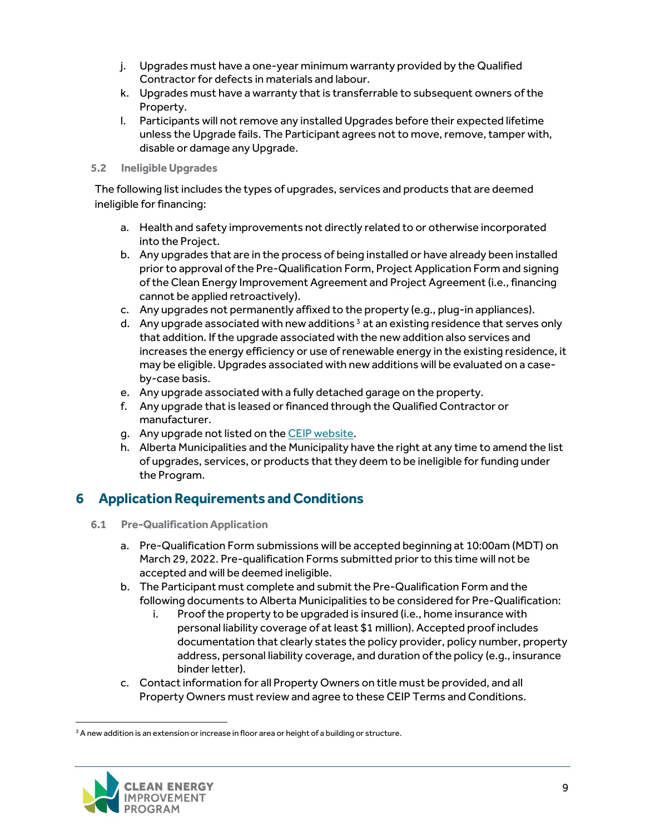- j. Upgrades must have a one-year minimum warranty provided by the Qualified Contractor for defects in materials and labour.
- k. Upgrades must have a warranty that is transferrable to subsequent owners of the Property.
- l. Participants will not remove any installed Upgrades before their expected lifetime unless the Upgrade fails. The Participant agrees not to move, remove, tamper with, disable or damage any Upgrade.

#### <span id="page-9-0"></span>**5.2 Ineligible Upgrades**

The following list includes the types of upgrades, services and products that are deemed ineligible for financing:

- a. Health and safety improvements not directly related to or otherwise incorporated into the Project.
- b. Any upgrades that are in the process of being installed or have already been installed prior to approval of the Pre-Qualification Form, Project Application Form and signing of the Clean Energy Improvement Agreement and Project Agreement (i.e., financing cannot be applied retroactively).
- c. Any upgrades not permanently affixed to the property (e.g., plug-in appliances).
- d. Any upgrade associated with new additions<sup>[3](#page-9-3)</sup> at an existing residence that serves only that addition. If the upgrade associated with the new addition also services and increases the energy efficiency or use of renewable energy in the existing residence, it may be eligible. Upgrades associated with new additions will be evaluated on a caseby-case basis.
- e. Any upgrade associated with a fully detached garage on the property.
- f. Any upgrade that is leased or financed through the Qualified Contractor or manufacturer.
- g. Any upgrade not listed on th[e CEIP website.](https://www.myceip.ca/residential/)
- h. Alberta Municipalities and the Municipality have the right at any time to amend the list of upgrades, services, or products that they deem to be ineligible for funding under the Program.

## <span id="page-9-1"></span>**6 Application Requirements and Conditions**

- <span id="page-9-2"></span>**6.1 Pre-Qualification Application**
	- a. Pre-Qualification Form submissions will be accepted beginning at 10:00am (MDT) on March 29, 2022. Pre-qualification Forms submitted prior to this time will not be accepted and will be deemed ineligible.
	- b. The Participant must complete and submit the Pre-Qualification Form and the following documents to Alberta Municipalities to be considered for Pre-Qualification:
		- i. Proof the property to be upgraded is insured (i.e., home insurance with personal liability coverage of at least \$1 million). Accepted proof includes documentation that clearly states the policy provider, policy number, property address, personal liability coverage, and duration of the policy (e.g., insurance binder letter).
	- c. Contact information for all Property Owners on title must be provided, and all Property Owners must review and agree to these CEIP Terms and Conditions.

<span id="page-9-3"></span> $3$  A new addition is an extension or increase in floor area or height of a building or structure.

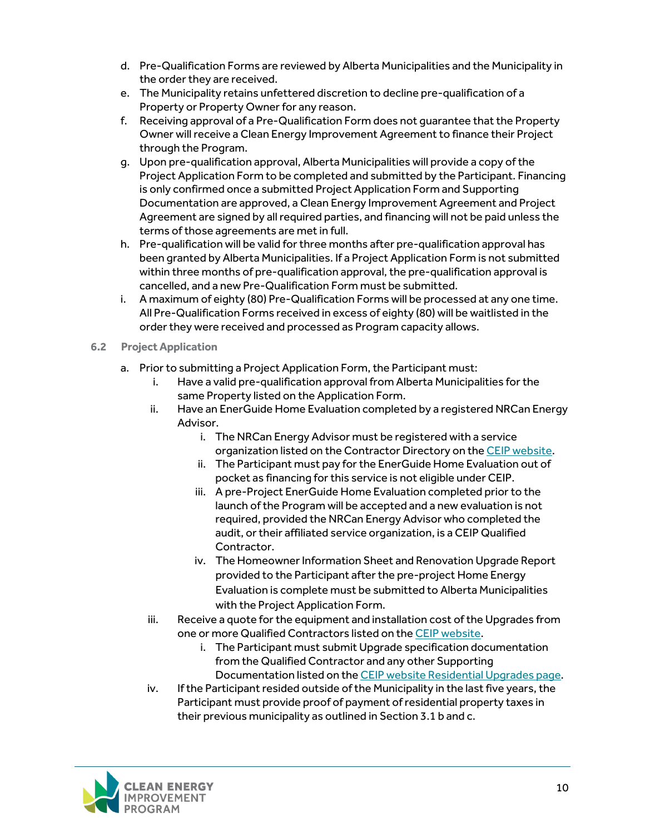- d. Pre-Qualification Forms are reviewed by Alberta Municipalities and the Municipality in the order they are received.
- e. The Municipality retains unfettered discretion to decline pre-qualification of a Property or Property Owner for any reason.
- f. Receiving approval of a Pre-Qualification Form does not guarantee that the Property Owner will receive a Clean Energy Improvement Agreement to finance their Project through the Program.
- g. Upon pre-qualification approval, Alberta Municipalities will provide a copy of the Project Application Form to be completed and submitted by the Participant. Financing is only confirmed once a submitted Project Application Form and Supporting Documentation are approved, a Clean Energy Improvement Agreement and Project Agreement are signed by all required parties, and financing will not be paid unless the terms of those agreements are met in full.
- h. Pre-qualification will be valid for three months after pre-qualification approval has been granted by Alberta Municipalities. If a Project Application Form is not submitted within three months of pre-qualification approval, the pre-qualification approval is cancelled, and a new Pre-Qualification Form must be submitted.
- i. A maximum of eighty (80) Pre-Qualification Forms will be processed at any one time. All Pre-Qualification Forms received in excess of eighty (80) will be waitlisted in the order they were received and processed as Program capacity allows.

#### <span id="page-10-0"></span>**6.2 Project Application**

- a. Prior to submitting a Project Application Form, the Participant must:
	- i. Have a valid pre-qualification approval from Alberta Municipalities for the same Property listed on the Application Form.
	- ii. Have an EnerGuide Home Evaluation completed by a registered NRCan Energy Advisor.
		- i. The NRCan Energy Advisor must be registered with a service organization listed on the Contractor Directory on th[e CEIP website.](https://www.myceip.ca/directory/)
		- ii. The Participant must pay for the EnerGuide Home Evaluation out of pocket as financing for this service is not eligible under CEIP.
		- iii. A pre-Project EnerGuide Home Evaluation completed prior to the launch of the Program will be accepted and a new evaluation is not required, provided the NRCan Energy Advisor who completed the audit, or their affiliated service organization, is a CEIP Qualified Contractor.
		- iv. The Homeowner Information Sheet and Renovation Upgrade Report provided to the Participant after the pre-project Home Energy Evaluation is complete must be submitted to Alberta Municipalities with the Project Application Form.
	- iii. Receive a quote for the equipment and installation cost of the Upgrades from one or more Qualified Contractors listed on th[e CEIP website.](https://www.myceip.ca/directory/)
		- i. The Participant must submit Upgrade specification documentation from the Qualified Contractor and any other Supporting Documentation listed on th[e CEIP website Residential Upgrades](https://www.myceip.ca/residential/) page.
	- iv. If the Participant resided outside of the Municipality in the last five years, the Participant must provide proof of payment of residential property taxes in their previous municipality as outlined in Section 3.1 b and c.

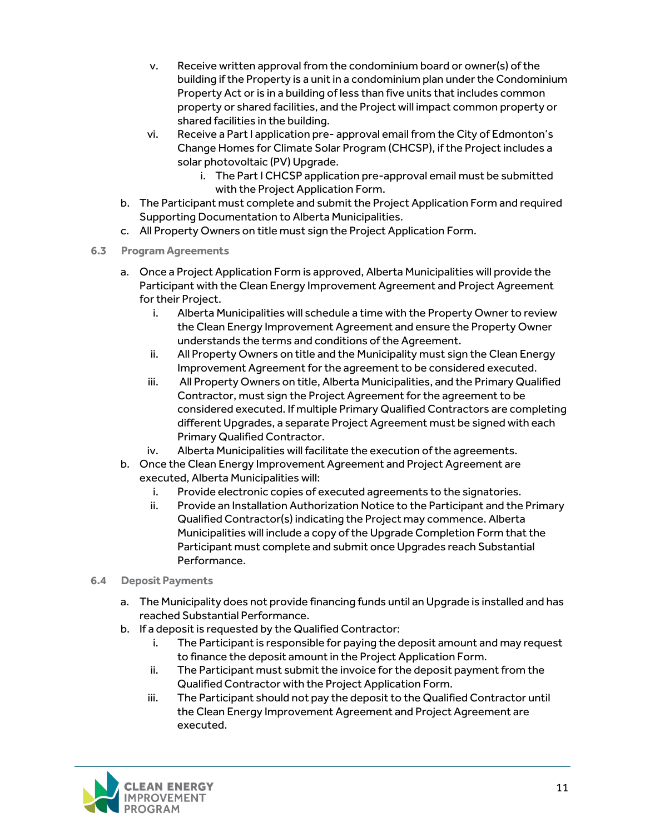- v. Receive written approval from the condominium board or owner(s) of the building if the Property is a unit in a condominium plan under the Condominium Property Act or is in a building of less than five units that includes common property or shared facilities, and the Project will impact common property or shared facilities in the building.
- vi. Receive a Part I application pre- approval email from the City of Edmonton's Change Homes for Climate Solar Program (CHCSP), if the Project includes a solar photovoltaic (PV) Upgrade.
	- i. The Part I CHCSP application pre-approval email must be submitted with the Project Application Form.
- b. The Participant must complete and submit the Project Application Form and required Supporting Documentation to Alberta Municipalities.
- c. All Property Owners on title must sign the Project Application Form.
- <span id="page-11-0"></span>**6.3 Program Agreements** 
	- a. Once a Project Application Form is approved, Alberta Municipalities will provide the Participant with the Clean Energy Improvement Agreement and Project Agreement for their Project.
		- i. Alberta Municipalities will schedule a time with the Property Owner to review the Clean Energy Improvement Agreement and ensure the Property Owner understands the terms and conditions of the Agreement.
		- ii. All Property Owners on title and the Municipality must sign the Clean Energy Improvement Agreement for the agreement to be considered executed.
		- iii. All Property Owners on title, Alberta Municipalities, and the Primary Qualified Contractor, must sign the Project Agreement for the agreement to be considered executed. If multiple Primary Qualified Contractors are completing different Upgrades, a separate Project Agreement must be signed with each Primary Qualified Contractor.
		- iv. Alberta Municipalities will facilitate the execution of the agreements.
	- b. Once the Clean Energy Improvement Agreement and Project Agreement are executed, Alberta Municipalities will:
		- i. Provide electronic copies of executed agreements to the signatories.
		- ii. Provide an Installation Authorization Notice to the Participant and the Primary Qualified Contractor(s) indicating the Project may commence. Alberta Municipalities will include a copy of the Upgrade Completion Form that the Participant must complete and submit once Upgrades reach Substantial Performance.
- <span id="page-11-1"></span>**6.4 Deposit Payments** 
	- a. The Municipality does not provide financing funds until an Upgrade is installed and has reached Substantial Performance.
	- b. If a deposit is requested by the Qualified Contractor:
		- i. The Participant is responsible for paying the deposit amount and may request to finance the deposit amount in the Project Application Form.
		- ii. The Participant must submit the invoice for the deposit payment from the Qualified Contractor with the Project Application Form.
		- iii. The Participant should not pay the deposit to the Qualified Contractor until the Clean Energy Improvement Agreement and Project Agreement are executed.

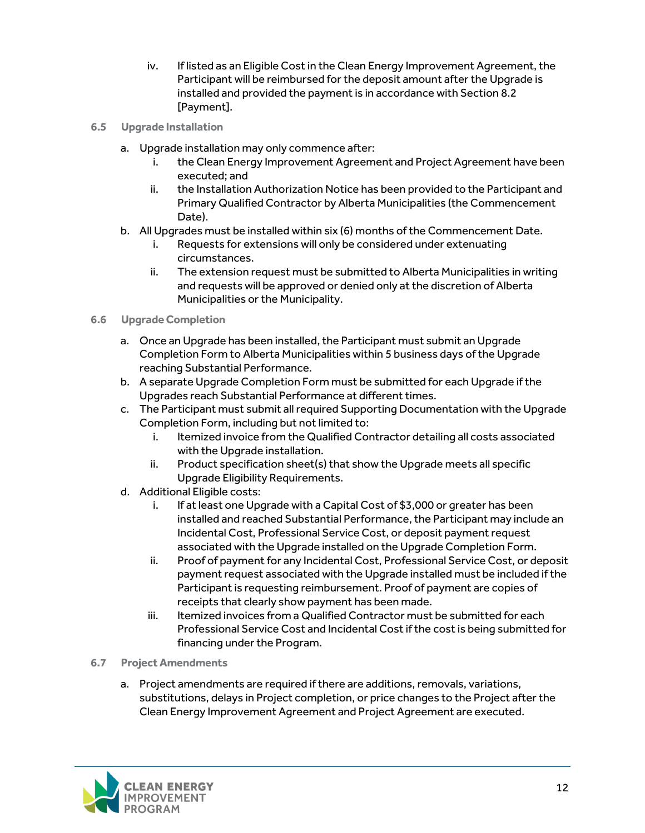- iv. If listed as an Eligible Cost in the Clean Energy Improvement Agreement, the Participant will be reimbursed for the deposit amount after the Upgrade is installed and provided the payment is in accordance with Section 8.2 [Payment].
- <span id="page-12-0"></span>**6.5 Upgrade Installation**
	- a. Upgrade installation may only commence after:
		- i. the Clean Energy Improvement Agreement and Project Agreement have been executed; and
		- ii. the Installation Authorization Notice has been provided to the Participant and Primary Qualified Contractor by Alberta Municipalities (the Commencement Date).
	- b. All Upgrades must be installed within six (6) months of the Commencement Date.
		- i. Requests for extensions will only be considered under extenuating circumstances.
		- ii. The extension request must be submitted to Alberta Municipalities in writing and requests will be approved or denied only at the discretion of Alberta Municipalities or the Municipality.

#### <span id="page-12-1"></span>**6.6 Upgrade Completion**

- a. Once an Upgrade has been installed, the Participant must submit an Upgrade Completion Form to Alberta Municipalities within 5 business days of the Upgrade reaching Substantial Performance.
- b. A separate Upgrade Completion Form must be submitted for each Upgrade if the Upgrades reach Substantial Performance at different times.
- c. The Participant must submit all required Supporting Documentation with the Upgrade Completion Form, including but not limited to:
	- i. Itemized invoice from the Qualified Contractor detailing all costs associated with the Upgrade installation.
	- ii. Product specification sheet(s) that show the Upgrade meets all specific Upgrade Eligibility Requirements.
- d. Additional Eligible costs:
	- i. If at least one Upgrade with a Capital Cost of \$3,000 or greater has been installed and reached Substantial Performance, the Participant may include an Incidental Cost, Professional Service Cost, or deposit payment request associated with the Upgrade installed on the Upgrade Completion Form.
	- ii. Proof of payment for any Incidental Cost, Professional Service Cost, or deposit payment request associated with the Upgrade installed must be included if the Participant is requesting reimbursement. Proof of payment are copies of receipts that clearly show payment has been made.
	- iii. Itemized invoices from a Qualified Contractor must be submitted for each Professional Service Cost and Incidental Cost if the cost is being submitted for financing under the Program.
- <span id="page-12-2"></span>**6.7 Project Amendments**
	- a. Project amendments are required if there are additions, removals, variations, substitutions, delays in Project completion, or price changes to the Project after the Clean Energy Improvement Agreement and Project Agreement are executed.

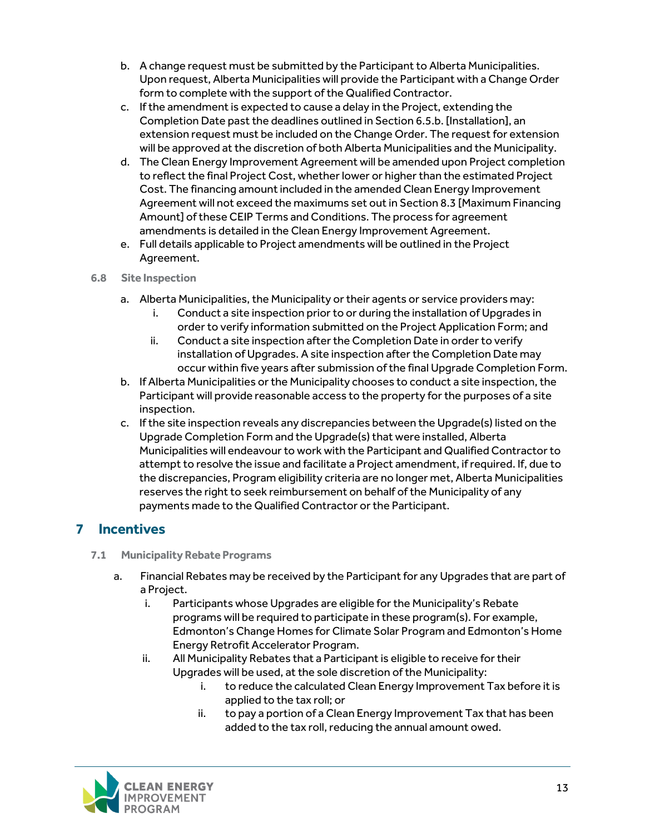- b. A change request must be submitted by the Participant to Alberta Municipalities. Upon request, Alberta Municipalities will provide the Participant with a Change Order form to complete with the support of the Qualified Contractor.
- c. If the amendment is expected to cause a delay in the Project, extending the Completion Date past the deadlines outlined in Section 6.5.b. [Installation], an extension request must be included on the Change Order. The request for extension will be approved at the discretion of both Alberta Municipalities and the Municipality.
- d. The Clean Energy Improvement Agreement will be amended upon Project completion to reflect the final Project Cost, whether lower or higher than the estimated Project Cost. The financing amount included in the amended Clean Energy Improvement Agreement will not exceed the maximums set out in Section 8.3 [Maximum Financing Amount] of these CEIP Terms and Conditions. The process for agreement amendments is detailed in the Clean Energy Improvement Agreement.
- e. Full details applicable to Project amendments will be outlined in the Project Agreement.

#### <span id="page-13-0"></span>**6.8 Site Inspection**

- a. Alberta Municipalities, the Municipality or their agents or service providers may:
	- i. Conduct a site inspection prior to or during the installation of Upgrades in order to verify information submitted on the Project Application Form; and
	- ii. Conduct a site inspection after the Completion Date in order to verify installation of Upgrades. A site inspection after the Completion Date may occur within five years after submission of the final Upgrade Completion Form.
- b. If Alberta Municipalities or the Municipality chooses to conduct a site inspection, the Participant will provide reasonable access to the property for the purposes of a site inspection.
- c. If the site inspection reveals any discrepancies between the Upgrade(s) listed on the Upgrade Completion Form and the Upgrade(s) that were installed, Alberta Municipalities will endeavour to work with the Participant and Qualified Contractor to attempt to resolve the issue and facilitate a Project amendment, if required. If, due to the discrepancies, Program eligibility criteria are no longer met, Alberta Municipalities reserves the right to seek reimbursement on behalf of the Municipality of any payments made to the Qualified Contractor or the Participant.

## <span id="page-13-1"></span>**7 Incentives**

- <span id="page-13-2"></span>**7.1 Municipality Rebate Programs**
	- a. Financial Rebates may be received by the Participant for any Upgrades that are part of a Project.
		- i. Participants whose Upgrades are eligible for the Municipality's Rebate programs will be required to participate in these program(s). For example, Edmonton's Change Homes for Climate Solar Program and Edmonton's Home Energy Retrofit Accelerator Program.
		- ii. All Municipality Rebates that a Participant is eligible to receive for their Upgrades will be used, at the sole discretion of the Municipality:
			- i. to reduce the calculated Clean Energy Improvement Tax before it is applied to the tax roll; or
			- ii. to pay a portion of a Clean Energy Improvement Tax that has been added to the tax roll, reducing the annual amount owed.

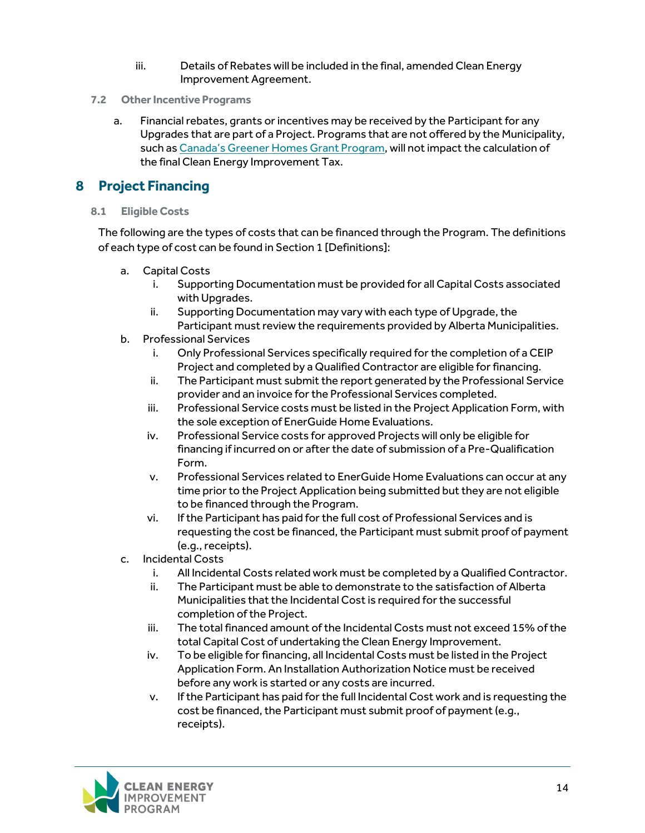- iii. Details of Rebates will be included in the final, amended Clean Energy Improvement Agreement.
- <span id="page-14-0"></span>**7.2 Other Incentive Programs**
	- a. Financial rebates, grants or incentives may be received by the Participant for any Upgrades that are part of a Project. Programs that are not offered by the Municipality, such a[s Canada's Greener Homes Grant Program,](https://www.nrcan.gc.ca/energy-efficiency/homes/canada-greener-homes-grant/23441) will not impact the calculation of the final Clean Energy Improvement Tax.

## <span id="page-14-1"></span>**8 Project Financing**

<span id="page-14-2"></span>**8.1 Eligible Costs**

The following are the types of costs that can be financed through the Program. The definitions of each type of cost can be found in Section 1 [Definitions]:

- a. Capital Costs
	- Supporting Documentation must be provided for all Capital Costs associated with Upgrades.
	- ii. Supporting Documentation may vary with each type of Upgrade, the Participant must review the requirements provided by Alberta Municipalities.
- b. Professional Services
	- i. Only Professional Services specifically required for the completion of a CEIP Project and completed by a Qualified Contractor are eligible for financing.
	- ii. The Participant must submit the report generated by the Professional Service provider and an invoice for the Professional Services completed.
	- iii. Professional Service costs must be listed in the Project Application Form, with the sole exception of EnerGuide Home Evaluations.
	- iv. Professional Service costs for approved Projects will only be eligible for financing if incurred on or after the date of submission of a Pre-Qualification Form.
	- v. Professional Services related to EnerGuide Home Evaluations can occur at any time prior to the Project Application being submitted but they are not eligible to be financed through the Program.
	- vi. If the Participant has paid for the full cost of Professional Services and is requesting the cost be financed, the Participant must submit proof of payment (e.g., receipts).
- c. Incidental Costs
	- i. All Incidental Costs related work must be completed by a Qualified Contractor.
	- ii. The Participant must be able to demonstrate to the satisfaction of Alberta Municipalities that the Incidental Cost is required for the successful completion of the Project.
	- iii. The total financed amount of the Incidental Costs must not exceed 15% of the total Capital Cost of undertaking the Clean Energy Improvement.
	- iv. To be eligible for financing, all Incidental Costs must be listed in the Project Application Form. An Installation Authorization Notice must be received before any work is started or any costs are incurred.
	- v. If the Participant has paid for the full Incidental Cost work and is requesting the cost be financed, the Participant must submit proof of payment (e.g., receipts).

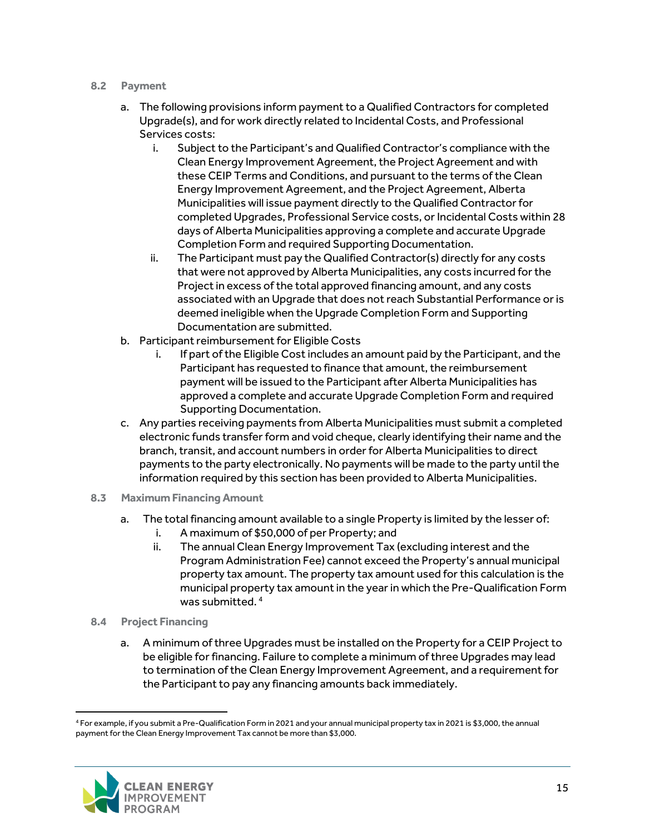#### <span id="page-15-0"></span>**8.2 Payment**

- a. The following provisions inform payment to a Qualified Contractors for completed Upgrade(s), and for work directly related to Incidental Costs, and Professional Services costs:
	- i. Subject to the Participant's and Qualified Contractor's compliance with the Clean Energy Improvement Agreement, the Project Agreement and with these CEIP Terms and Conditions, and pursuant to the terms of the Clean Energy Improvement Agreement, and the Project Agreement, Alberta Municipalities will issue payment directly to the Qualified Contractor for completed Upgrades, Professional Service costs, or Incidental Costs within 28 days of Alberta Municipalities approving a complete and accurate Upgrade Completion Form and required Supporting Documentation.
	- ii. The Participant must pay the Qualified Contractor(s) directly for any costs that were not approved by Alberta Municipalities, any costs incurred for the Project in excess of the total approved financing amount, and any costs associated with an Upgrade that does not reach Substantial Performance or is deemed ineligible when the Upgrade Completion Form and Supporting Documentation are submitted.
- b. Participant reimbursement for Eligible Costs
	- i. If part of the Eligible Cost includes an amount paid by the Participant, and the Participant has requested to finance that amount, the reimbursement payment will be issued to the Participant after Alberta Municipalities has approved a complete and accurate Upgrade Completion Form and required Supporting Documentation.
- c. Any parties receiving payments from Alberta Municipalities must submit a completed electronic funds transfer form and void cheque, clearly identifying their name and the branch, transit, and account numbers in order for Alberta Municipalities to direct payments to the party electronically. No payments will be made to the party until the information required by this section has been provided to Alberta Municipalities.
- <span id="page-15-1"></span>**8.3 Maximum Financing Amount**
	- a. The total financing amount available to a single Property is limited by the lesser of:
		- i. A maximum of \$50,000 of per Property; and
		- ii. The annual Clean Energy Improvement Tax (excluding interest and the Program Administration Fee) cannot exceed the Property's annual municipal property tax amount. The property tax amount used for this calculation is the municipal property tax amount in the year in which the Pre-Qualification Form was submitted. [4](#page-15-3)
- <span id="page-15-2"></span>**8.4 Project Financing** 
	- a. A minimum of three Upgrades must be installed on the Property for a CEIP Project to be eligible for financing. Failure to complete a minimum of three Upgrades may lead to termination of the Clean Energy Improvement Agreement, and a requirement for the Participant to pay any financing amounts back immediately.

<span id="page-15-3"></span><sup>4</sup> For example, if you submit a Pre-Qualification Form in 2021 and your annual municipal property tax in 2021 is \$3,000, the annual payment for the Clean Energy Improvement Tax cannot be more than \$3,000.

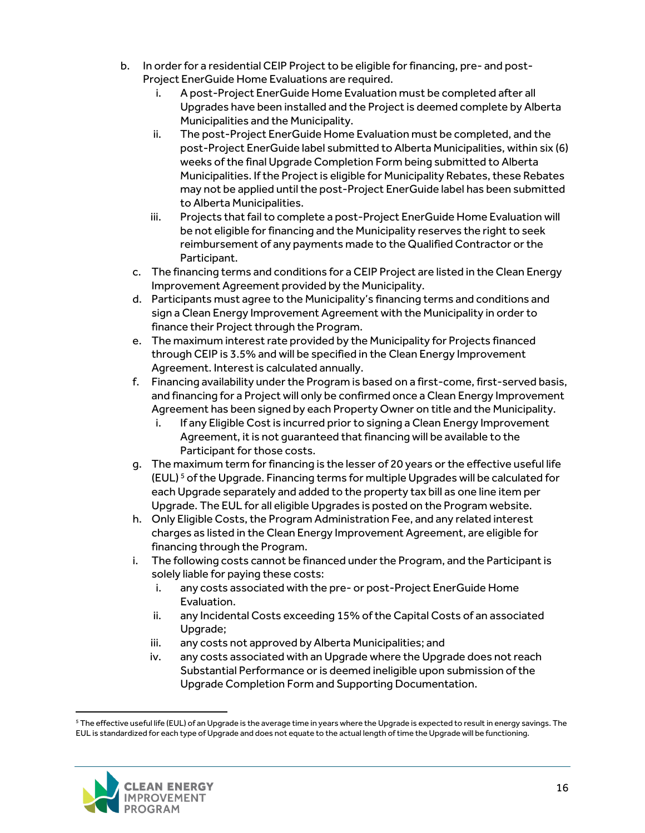- b. In order for a residential CEIP Project to be eligible for financing, pre- and post-Project EnerGuide Home Evaluations are required.
	- i. A post-Project EnerGuide Home Evaluation must be completed after all Upgrades have been installed and the Project is deemed complete by Alberta Municipalities and the Municipality.
	- ii. The post-Project EnerGuide Home Evaluation must be completed, and the post-Project EnerGuide label submitted to Alberta Municipalities, within six (6) weeks of the final Upgrade Completion Form being submitted to Alberta Municipalities. If the Project is eligible for Municipality Rebates, these Rebates may not be applied until the post-Project EnerGuide label has been submitted to Alberta Municipalities.
	- iii. Projects that fail to complete a post-Project EnerGuide Home Evaluation will be not eligible for financing and the Municipality reserves the right to seek reimbursement of any payments made to the Qualified Contractor or the Participant.
	- c. The financing terms and conditions for a CEIP Project are listed in the Clean Energy Improvement Agreement provided by the Municipality.
	- d. Participants must agree to the Municipality's financing terms and conditions and sign a Clean Energy Improvement Agreement with the Municipality in order to finance their Project through the Program.
	- e. The maximum interest rate provided by the Municipality for Projects financed through CEIP is 3.5% and will be specified in the Clean Energy Improvement Agreement. Interest is calculated annually.
	- f. Financing availability under the Program is based on a first-come, first-served basis, and financing for a Project will only be confirmed once a Clean Energy Improvement Agreement has been signed by each Property Owner on title and the Municipality.
		- i. If any Eligible Cost is incurred prior to signing a Clean Energy Improvement Agreement, it is not guaranteed that financing will be available to the Participant for those costs.
	- g. The maximum term for financing is the lesser of 20 years or the effective useful life  $(EUL)$ <sup>[5](#page-16-0)</sup> of the Upgrade. Financing terms for multiple Upgrades will be calculated for each Upgrade separately and added to the property tax bill as one line item per Upgrade. The EUL for all eligible Upgrades is posted on the Program website.
	- h. Only Eligible Costs, the Program Administration Fee, and any related interest charges as listed in the Clean Energy Improvement Agreement, are eligible for financing through the Program.
	- i. The following costs cannot be financed under the Program, and the Participant is solely liable for paying these costs:
		- i. any costs associated with the pre- or post-Project EnerGuide Home Evaluation.
		- ii. any Incidental Costs exceeding 15% of the Capital Costs of an associated Upgrade;
		- iii. any costs not approved by Alberta Municipalities; and
		- iv. any costs associated with an Upgrade where the Upgrade does not reach Substantial Performance or is deemed ineligible upon submission of the Upgrade Completion Form and Supporting Documentation.

<span id="page-16-0"></span><sup>5</sup> The effective useful life (EUL) of an Upgrade is the average time in years where the Upgrade is expected to result in energy savings. The EUL is standardized for each type of Upgrade and does not equate to the actual length of time the Upgrade will be functioning.

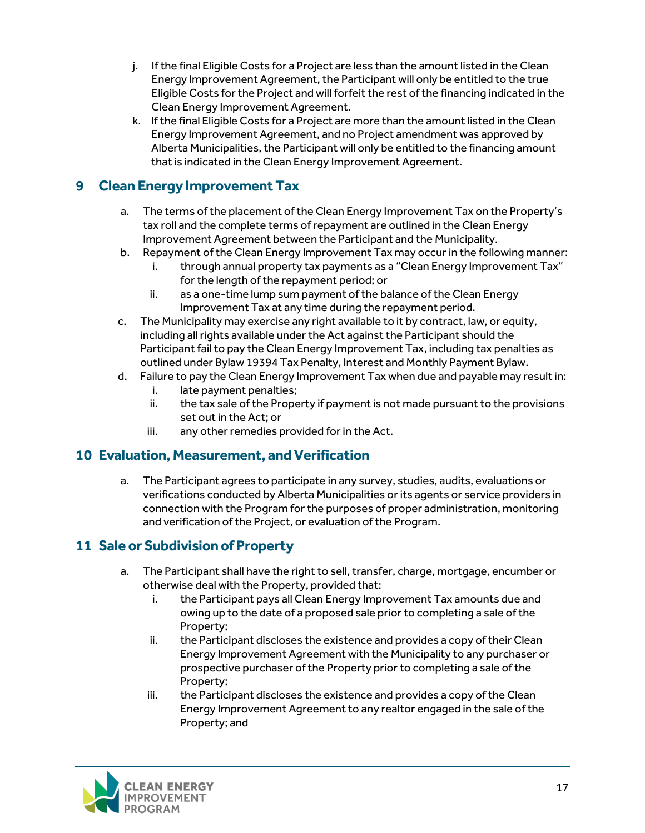- j. If the final Eligible Costs for a Project are less than the amount listed in the Clean Energy Improvement Agreement, the Participant will only be entitled to the true Eligible Costs for the Project and will forfeit the rest of the financing indicated in the Clean Energy Improvement Agreement.
- k. If the final Eligible Costs for a Project are more than the amount listed in the Clean Energy Improvement Agreement, and no Project amendment was approved by Alberta Municipalities, the Participant will only be entitled to the financing amount that is indicated in the Clean Energy Improvement Agreement.

## <span id="page-17-0"></span>**9 Clean Energy Improvement Tax**

- a. The terms of the placement of the Clean Energy Improvement Tax on the Property's tax roll and the complete terms of repayment are outlined in the Clean Energy Improvement Agreement between the Participant and the Municipality.
- b. Repayment of the Clean Energy Improvement Tax may occur in the following manner:
	- through annual property tax payments as a "Clean Energy Improvement Tax" for the length of the repayment period; or
	- ii. as a one-time lump sum payment of the balance of the Clean Energy Improvement Tax at any time during the repayment period.
- c. The Municipality may exercise any right available to it by contract, law, or equity, including all rights available under the Act against the Participant should the Participant fail to pay the Clean Energy Improvement Tax, including tax penalties as outlined under Bylaw 19394 Tax Penalty, Interest and Monthly Payment Bylaw.
- d. Failure to pay the Clean Energy Improvement Tax when due and payable may result in:
	- i. late payment penalties;
	- ii. the tax sale of the Property if payment is not made pursuant to the provisions set out in the Act; or
	- iii. any other remedies provided for in the Act.

## <span id="page-17-1"></span>**10 Evaluation, Measurement, and Verification**

a. The Participant agrees to participate in any survey, studies, audits, evaluations or verifications conducted by Alberta Municipalities or its agents or service providers in connection with the Program for the purposes of proper administration, monitoring and verification of the Project, or evaluation of the Program.

## <span id="page-17-2"></span>**11 Sale or Subdivision of Property**

- a. The Participant shall have the right to sell, transfer, charge, mortgage, encumber or otherwise deal with the Property, provided that:
	- i. the Participant pays all Clean Energy Improvement Tax amounts due and owing up to the date of a proposed sale prior to completing a sale of the Property;
	- ii. the Participant discloses the existence and provides a copy of their Clean Energy Improvement Agreement with the Municipality to any purchaser or prospective purchaser of the Property prior to completing a sale of the Property;
	- iii. the Participant discloses the existence and provides a copy of the Clean Energy Improvement Agreement to any realtor engaged in the sale of the Property; and

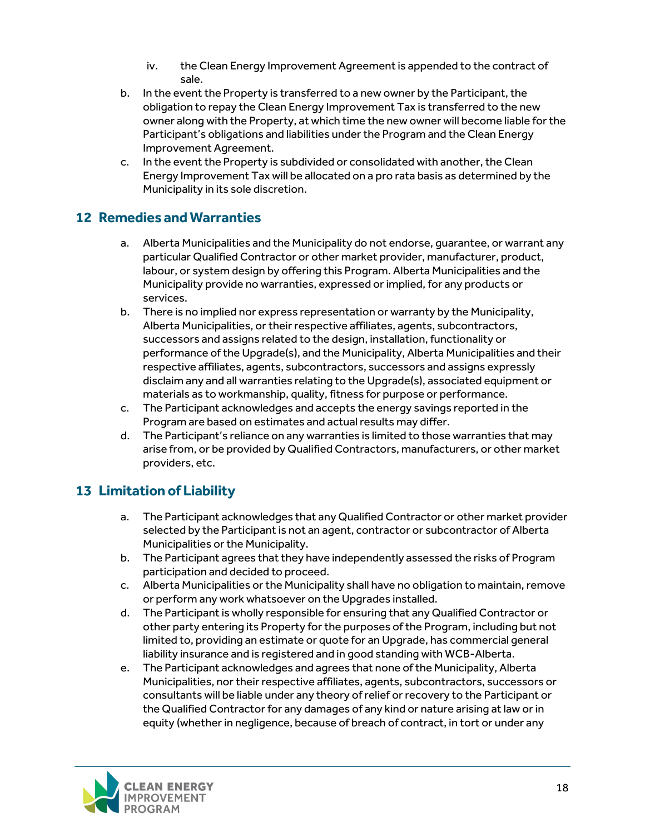- iv. the Clean Energy Improvement Agreement is appended to the contract of sale.
- b. In the event the Property is transferred to a new owner by the Participant, the obligation to repay the Clean Energy Improvement Tax is transferred to the new owner along with the Property, at which time the new owner will become liable for the Participant's obligations and liabilities under the Program and the Clean Energy Improvement Agreement.
- c. In the event the Property is subdivided or consolidated with another, the Clean Energy Improvement Tax will be allocated on a pro rata basis as determined by the Municipality in its sole discretion.

## <span id="page-18-0"></span>**12 Remedies and Warranties**

- a. Alberta Municipalities and the Municipality do not endorse, guarantee, or warrant any particular Qualified Contractor or other market provider, manufacturer, product, labour, or system design by offering this Program. Alberta Municipalities and the Municipality provide no warranties, expressed or implied, for any products or services.
- b. There is no implied nor express representation or warranty by the Municipality, Alberta Municipalities, or their respective affiliates, agents, subcontractors, successors and assigns related to the design, installation, functionality or performance of the Upgrade(s), and the Municipality, Alberta Municipalities and their respective affiliates, agents, subcontractors, successors and assigns expressly disclaim any and all warranties relating to the Upgrade(s), associated equipment or materials as to workmanship, quality, fitness for purpose or performance.
- c. The Participant acknowledges and accepts the energy savings reported in the Program are based on estimates and actual results may differ.
- d. The Participant's reliance on any warranties is limited to those warranties that may arise from, or be provided by Qualified Contractors, manufacturers, or other market providers, etc.

## <span id="page-18-1"></span>**13 Limitation of Liability**

- a. The Participant acknowledges that any Qualified Contractor or other market provider selected by the Participant is not an agent, contractor or subcontractor of Alberta Municipalities or the Municipality.
- b. The Participant agrees that they have independently assessed the risks of Program participation and decided to proceed.
- c. Alberta Municipalities or the Municipality shall have no obligation to maintain, remove or perform any work whatsoever on the Upgrades installed.
- d. The Participant is wholly responsible for ensuring that any Qualified Contractor or other party entering its Property for the purposes of the Program, including but not limited to, providing an estimate or quote for an Upgrade, has commercial general liability insurance and is registered and in good standing with WCB-Alberta.
- e. The Participant acknowledges and agrees that none ofthe Municipality, Alberta Municipalities, nor their respective affiliates, agents, subcontractors, successors or consultants will be liable under any theory of relief or recovery to the Participant or the Qualified Contractor for any damages of any kind or nature arising at law or in equity (whether in negligence, because of breach of contract, in tort or under any

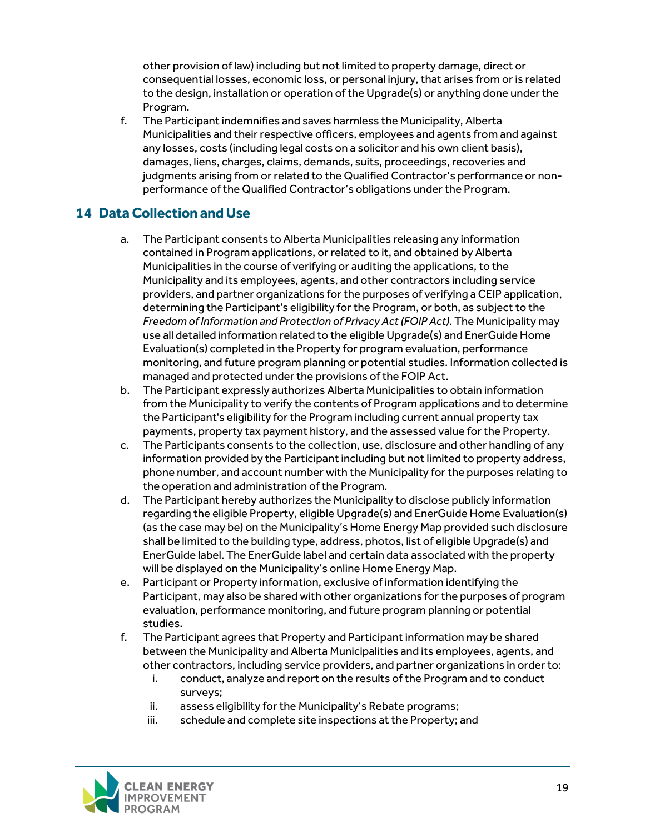other provision of law) including but not limited to property damage, direct or consequential losses, economic loss, or personal injury, that arises from or is related to the design, installation or operation of the Upgrade(s) or anything done under the Program.

f. The Participant indemnifies and saves harmless the Municipality, Alberta Municipalities and their respective officers, employees and agents from and against any losses, costs (including legal costs on a solicitor and his own client basis), damages, liens, charges, claims, demands, suits, proceedings, recoveries and judgments arising from or related to the Qualified Contractor's performance or nonperformance of the Qualified Contractor's obligations under the Program.

## <span id="page-19-0"></span>**14 Data Collection and Use**

- a. The Participant consents to Alberta Municipalities releasing any information contained in Program applications, or related to it, and obtained by Alberta Municipalities in the course of verifying or auditing the applications, to the Municipality and its employees, agents, and other contractors including service providers, and partner organizations for the purposes of verifying a CEIP application, determining the Participant's eligibility for the Program, or both, as subject to the *Freedom of Information and Protection of Privacy Act (FOIP Act).* The Municipality may use all detailed information related to the eligible Upgrade(s) and EnerGuide Home Evaluation(s) completed in the Property for program evaluation, performance monitoring, and future program planning or potential studies. Information collected is managed and protected under the provisions of the FOIP Act.
- b. The Participant expressly authorizes Alberta Municipalities to obtain information from the Municipality to verify the contents of Program applications and to determine the Participant's eligibility for the Program including current annual property tax payments, property tax payment history, and the assessed value for the Property.
- c. The Participants consents to the collection, use, disclosure and other handling of any information provided by the Participant including but not limited to property address, phone number, and account number with the Municipality for the purposes relating to the operation and administration of the Program.
- d. The Participant hereby authorizes the Municipality to disclose publicly information regarding the eligible Property, eligible Upgrade(s) and EnerGuide Home Evaluation(s) (as the case may be) on the Municipality's Home Energy Map provided such disclosure shall be limited to the building type, address, photos, list of eligible Upgrade(s) and EnerGuide label. The EnerGuide label and certain data associated with the property will be displayed on the Municipality's online Home Energy Map.
- e. Participant or Property information, exclusive of information identifying the Participant, may also be shared with other organizations for the purposes of program evaluation, performance monitoring, and future program planning or potential studies.
- f. The Participant agrees that Property and Participant information may be shared between the Municipality and Alberta Municipalities and its employees, agents, and other contractors, including service providers, and partner organizations in order to:
	- i. conduct, analyze and report on the results of the Program and to conduct surveys;
	- ii. assess eligibility for the Municipality's Rebate programs;<br>iii. schedule and complete site inspections at the Property:
	- schedule and complete site inspections at the Property; and

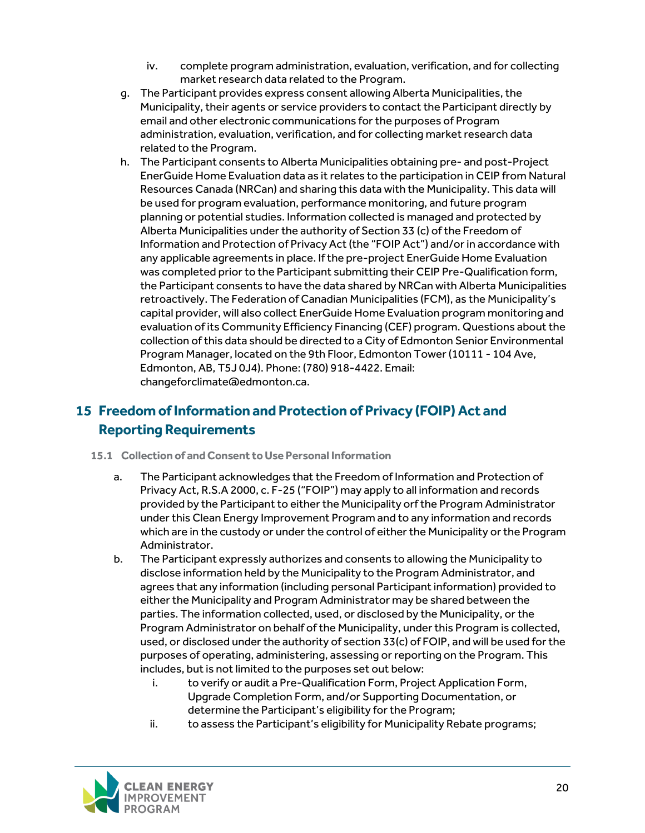- iv. complete program administration, evaluation, verification, and for collecting market research data related to the Program.
- g. The Participant provides express consent allowing Alberta Municipalities, the Municipality, their agents or service providers to contact the Participant directly by email and other electronic communications for the purposes of Program administration, evaluation, verification, and for collecting market research data related to the Program.
- h. The Participant consents to Alberta Municipalities obtaining pre- and post-Project EnerGuide Home Evaluation data as it relates to the participation in CEIP from Natural Resources Canada (NRCan) and sharing this data with the Municipality. This data will be used for program evaluation, performance monitoring, and future program planning or potential studies. Information collected is managed and protected by Alberta Municipalities under the authority of Section 33 (c) of the Freedom of Information and Protection of Privacy Act (the "FOIP Act") and/or in accordance with any applicable agreements in place. If the pre-project EnerGuide Home Evaluation was completed prior to the Participant submitting their CEIP Pre-Qualification form, the Participant consents to have the data shared by NRCan with Alberta Municipalities retroactively. The Federation of Canadian Municipalities (FCM), as the Municipality's capital provider, will also collect EnerGuide Home Evaluation program monitoring and evaluation of its Community Efficiency Financing (CEF) program. Questions about the collection of this data should be directed to a City of Edmonton Senior Environmental Program Manager, located on the 9th Floor, Edmonton Tower (10111 - 104 Ave, Edmonton, AB, T5J 0J4). Phone: (780) 918-4422. Email: [changeforclimate@edmonton.ca.](mailto:changeforclimate@edmonton.ca)

## <span id="page-20-0"></span>**15 Freedom of Information and Protection of Privacy (FOIP) Act and Reporting Requirements**

- **15.1 Collection of and Consent to Use Personal Information**
	- a. The Participant acknowledges that the Freedom of Information and Protection of Privacy Act, R.S.A 2000, c. F-25 ("FOIP") may apply to all information and records provided by the Participant to either the Municipality orf the Program Administrator under this Clean Energy Improvement Program and to any information and records which are in the custody or under the control of either the Municipality or the Program Administrator.
	- b. The Participant expressly authorizes and consents to allowing the Municipality to disclose information held by the Municipality to the Program Administrator, and agrees that any information (including personal Participant information) provided to either the Municipality and Program Administrator may be shared between the parties. The information collected, used, or disclosed by the Municipality, or the Program Administrator on behalf of the Municipality, under this Program is collected, used, or disclosed under the authority of section 33(c) of FOIP, and will be used for the purposes of operating, administering, assessing or reporting on the Program. This includes, but is not limited to the purposes set out below:
		- to verify or audit a Pre-Qualification Form, Project Application Form, Upgrade Completion Form, and/or Supporting Documentation, or determine the Participant's eligibility for the Program;
		- ii. to assess the Participant's eligibility for Municipality Rebate programs;